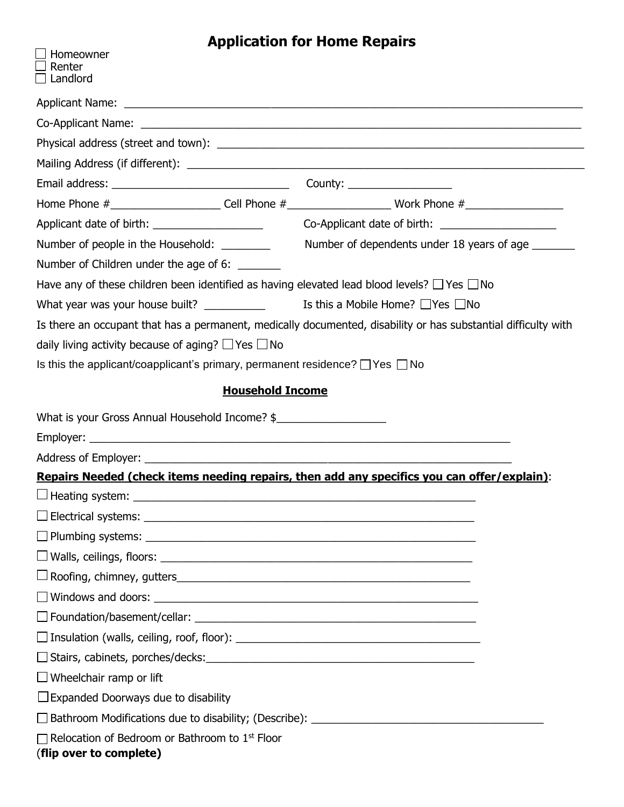## **Application for Home Repairs**

| Homeowner                                                                                             |                                                                                                                |
|-------------------------------------------------------------------------------------------------------|----------------------------------------------------------------------------------------------------------------|
| Renter<br>$\Box$ Landlord                                                                             |                                                                                                                |
|                                                                                                       |                                                                                                                |
|                                                                                                       |                                                                                                                |
|                                                                                                       |                                                                                                                |
|                                                                                                       |                                                                                                                |
|                                                                                                       |                                                                                                                |
|                                                                                                       | Home Phone #________________________Cell Phone #__________________________Work Phone #_______________________  |
|                                                                                                       |                                                                                                                |
| Number of people in the Household: _________                                                          | Number of dependents under 18 years of age _______                                                             |
| Number of Children under the age of 6:                                                                |                                                                                                                |
| Have any of these children been identified as having elevated lead blood levels? $\Box$ Yes $\Box$ No |                                                                                                                |
| What year was your house built? $\qquad \qquad$ Is this a Mobile Home? $\Box$ Yes $\Box$ No           |                                                                                                                |
|                                                                                                       | Is there an occupant that has a permanent, medically documented, disability or has substantial difficulty with |
| daily living activity because of aging? $\Box$ Yes $\Box$ No                                          |                                                                                                                |
| Is this the applicant/coapplicant's primary, permanent residence? $\Box$ Yes $\Box$ No                |                                                                                                                |
| <b>Household Income</b>                                                                               |                                                                                                                |
| What is your Gross Annual Household Income? \$                                                        |                                                                                                                |
|                                                                                                       |                                                                                                                |
|                                                                                                       |                                                                                                                |
| Repairs Needed (check items needing repairs, then add any specifics you can offer/explain):           |                                                                                                                |
| $\Box$ Heating system: $\Box$                                                                         |                                                                                                                |
|                                                                                                       |                                                                                                                |
|                                                                                                       |                                                                                                                |
| $\Box$ Walls, ceilings, floors: $\Box$                                                                |                                                                                                                |
|                                                                                                       |                                                                                                                |
| $\Box$ Windows and doors: $\Box$                                                                      |                                                                                                                |
| $\Box$ Foundation/basement/cellar: $\Box$                                                             |                                                                                                                |
| $\Box$ Insulation (walls, ceiling, roof, floor): $\Box$                                               |                                                                                                                |
|                                                                                                       |                                                                                                                |
| $\Box$ Wheelchair ramp or lift                                                                        |                                                                                                                |
| $\Box$ Expanded Doorways due to disability                                                            |                                                                                                                |
|                                                                                                       |                                                                                                                |
| $\Box$ Relocation of Bedroom or Bathroom to 1st Floor<br>(flip over to complete)                      |                                                                                                                |